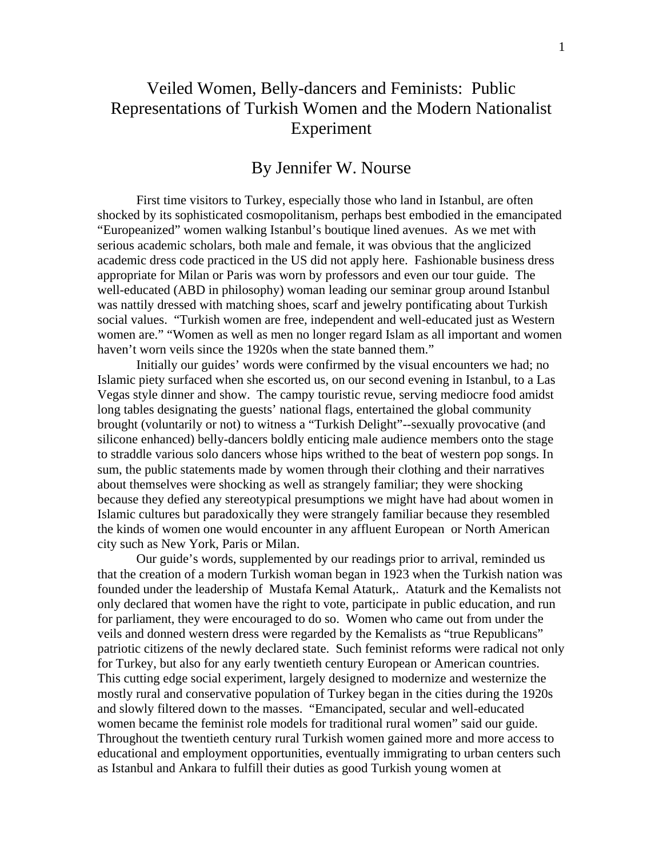## Veiled Women, Belly-dancers and Feminists: Public Representations of Turkish Women and the Modern Nationalist Experiment

## By Jennifer W. Nourse

 First time visitors to Turkey, especially those who land in Istanbul, are often shocked by its sophisticated cosmopolitanism, perhaps best embodied in the emancipated "Europeanized" women walking Istanbul's boutique lined avenues. As we met with serious academic scholars, both male and female, it was obvious that the anglicized academic dress code practiced in the US did not apply here. Fashionable business dress appropriate for Milan or Paris was worn by professors and even our tour guide. The well-educated (ABD in philosophy) woman leading our seminar group around Istanbul was nattily dressed with matching shoes, scarf and jewelry pontificating about Turkish social values. "Turkish women are free, independent and well-educated just as Western women are." "Women as well as men no longer regard Islam as all important and women haven't worn veils since the 1920s when the state banned them."

Initially our guides' words were confirmed by the visual encounters we had; no Islamic piety surfaced when she escorted us, on our second evening in Istanbul, to a Las Vegas style dinner and show. The campy touristic revue, serving mediocre food amidst long tables designating the guests' national flags, entertained the global community brought (voluntarily or not) to witness a "Turkish Delight"--sexually provocative (and silicone enhanced) belly-dancers boldly enticing male audience members onto the stage to straddle various solo dancers whose hips writhed to the beat of western pop songs. In sum, the public statements made by women through their clothing and their narratives about themselves were shocking as well as strangely familiar; they were shocking because they defied any stereotypical presumptions we might have had about women in Islamic cultures but paradoxically they were strangely familiar because they resembled the kinds of women one would encounter in any affluent European or North American city such as New York, Paris or Milan.

Our guide's words, supplemented by our readings prior to arrival, reminded us that the creation of a modern Turkish woman began in 1923 when the Turkish nation was founded under the leadership of Mustafa Kemal Ataturk,. Ataturk and the Kemalists not only declared that women have the right to vote, participate in public education, and run for parliament, they were encouraged to do so. Women who came out from under the veils and donned western dress were regarded by the Kemalists as "true Republicans" patriotic citizens of the newly declared state. Such feminist reforms were radical not only for Turkey, but also for any early twentieth century European or American countries. This cutting edge social experiment, largely designed to modernize and westernize the mostly rural and conservative population of Turkey began in the cities during the 1920s and slowly filtered down to the masses. "Emancipated, secular and well-educated women became the feminist role models for traditional rural women" said our guide. Throughout the twentieth century rural Turkish women gained more and more access to educational and employment opportunities, eventually immigrating to urban centers such as Istanbul and Ankara to fulfill their duties as good Turkish young women at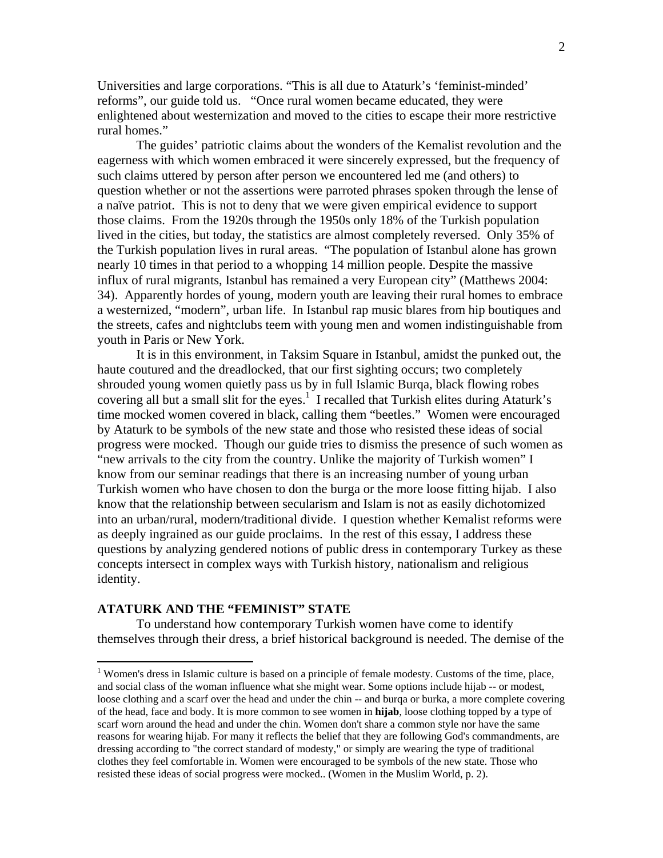Universities and large corporations. "This is all due to Ataturk's 'feminist-minded' reforms", our guide told us. "Once rural women became educated, they were enlightened about westernization and moved to the cities to escape their more restrictive rural homes."

The guides' patriotic claims about the wonders of the Kemalist revolution and the eagerness with which women embraced it were sincerely expressed, but the frequency of such claims uttered by person after person we encountered led me (and others) to question whether or not the assertions were parroted phrases spoken through the lense of a naïve patriot. This is not to deny that we were given empirical evidence to support those claims. From the 1920s through the 1950s only 18% of the Turkish population lived in the cities, but today, the statistics are almost completely reversed. Only 35% of the Turkish population lives in rural areas. "The population of Istanbul alone has grown nearly 10 times in that period to a whopping 14 million people. Despite the massive influx of rural migrants, Istanbul has remained a very European city" (Matthews 2004: 34). Apparently hordes of young, modern youth are leaving their rural homes to embrace a westernized, "modern", urban life. In Istanbul rap music blares from hip boutiques and the streets, cafes and nightclubs teem with young men and women indistinguishable from youth in Paris or New York.

It is in this environment, in Taksim Square in Istanbul, amidst the punked out, the haute coutured and the dreadlocked, that our first sighting occurs; two completely shrouded young women quietly pass us by in full Islamic Burqa, black flowing robes covering all but a small slit for the eyes.<sup>1</sup> I recalled that Turkish elites during Ataturk's time mocked women covered in black, calling them "beetles." Women were encouraged by Ataturk to be symbols of the new state and those who resisted these ideas of social progress were mocked. Though our guide tries to dismiss the presence of such women as "new arrivals to the city from the country. Unlike the majority of Turkish women" I know from our seminar readings that there is an increasing number of young urban Turkish women who have chosen to don the burga or the more loose fitting hijab. I also know that the relationship between secularism and Islam is not as easily dichotomized into an urban/rural, modern/traditional divide. I question whether Kemalist reforms were as deeply ingrained as our guide proclaims. In the rest of this essay, I address these questions by analyzing gendered notions of public dress in contemporary Turkey as these concepts intersect in complex ways with Turkish history, nationalism and religious identity.

## **ATATURK AND THE "FEMINIST" STATE**

1

 To understand how contemporary Turkish women have come to identify themselves through their dress, a brief historical background is needed. The demise of the

<sup>&</sup>lt;sup>1</sup> Women's dress in Islamic culture is based on a principle of female modesty. Customs of the time, place, and social class of the woman influence what she might wear. Some options include hijab -- or modest, loose clothing and a scarf over the head and under the chin -- and burqa or burka, a more complete covering of the head, face and body. It is more common to see women in **hijab**, loose clothing topped by a type of scarf worn around the head and under the chin. Women don't share a common style nor have the same reasons for wearing hijab. For many it reflects the belief that they are following God's commandments, are dressing according to "the correct standard of modesty," or simply are wearing the type of traditional clothes they feel comfortable in. Women were encouraged to be symbols of the new state. Those who resisted these ideas of social progress were mocked.. (Women in the Muslim World, p. 2).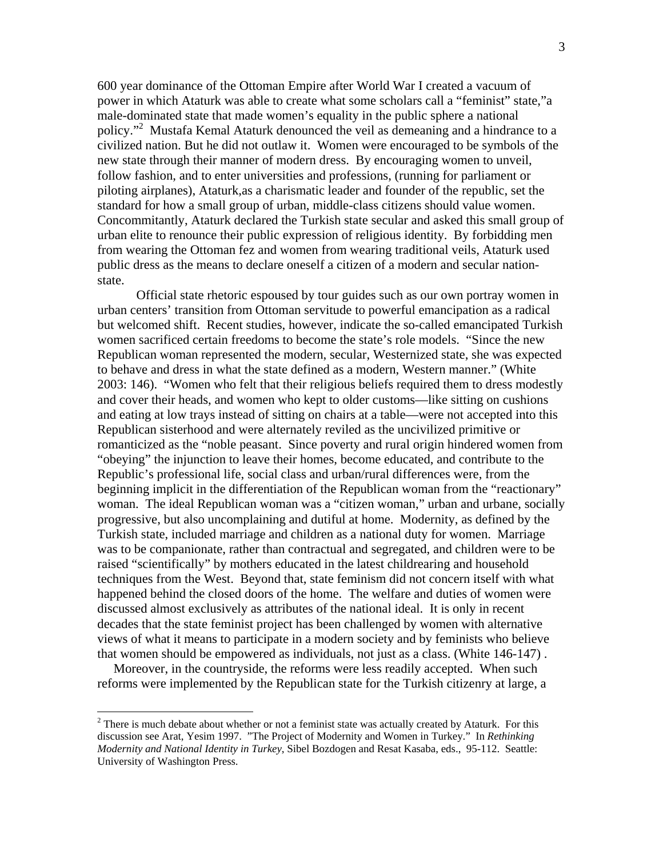600 year dominance of the Ottoman Empire after World War I created a vacuum of power in which Ataturk was able to create what some scholars call a "feminist" state,"a male-dominated state that made women's equality in the public sphere a national policy."2 Mustafa Kemal Ataturk denounced the veil as demeaning and a hindrance to a civilized nation. But he did not outlaw it. Women were encouraged to be symbols of the new state through their manner of modern dress. By encouraging women to unveil, follow fashion, and to enter universities and professions, (running for parliament or piloting airplanes), Ataturk,as a charismatic leader and founder of the republic, set the standard for how a small group of urban, middle-class citizens should value women. Concommitantly, Ataturk declared the Turkish state secular and asked this small group of urban elite to renounce their public expression of religious identity. By forbidding men from wearing the Ottoman fez and women from wearing traditional veils, Ataturk used public dress as the means to declare oneself a citizen of a modern and secular nationstate.

Official state rhetoric espoused by tour guides such as our own portray women in urban centers' transition from Ottoman servitude to powerful emancipation as a radical but welcomed shift. Recent studies, however, indicate the so-called emancipated Turkish women sacrificed certain freedoms to become the state's role models. "Since the new Republican woman represented the modern, secular, Westernized state, she was expected to behave and dress in what the state defined as a modern, Western manner." (White 2003: 146). "Women who felt that their religious beliefs required them to dress modestly and cover their heads, and women who kept to older customs—like sitting on cushions and eating at low trays instead of sitting on chairs at a table—were not accepted into this Republican sisterhood and were alternately reviled as the uncivilized primitive or romanticized as the "noble peasant. Since poverty and rural origin hindered women from "obeying" the injunction to leave their homes, become educated, and contribute to the Republic's professional life, social class and urban/rural differences were, from the beginning implicit in the differentiation of the Republican woman from the "reactionary" woman. The ideal Republican woman was a "citizen woman," urban and urbane, socially progressive, but also uncomplaining and dutiful at home. Modernity, as defined by the Turkish state, included marriage and children as a national duty for women. Marriage was to be companionate, rather than contractual and segregated, and children were to be raised "scientifically" by mothers educated in the latest childrearing and household techniques from the West. Beyond that, state feminism did not concern itself with what happened behind the closed doors of the home. The welfare and duties of women were discussed almost exclusively as attributes of the national ideal. It is only in recent decades that the state feminist project has been challenged by women with alternative views of what it means to participate in a modern society and by feminists who believe that women should be empowered as individuals, not just as a class. (White 146-147) .

 Moreover, in the countryside, the reforms were less readily accepted. When such reforms were implemented by the Republican state for the Turkish citizenry at large, a

 $\overline{a}$ 

 $2^2$  There is much debate about whether or not a feminist state was actually created by Ataturk. For this discussion see Arat, Yesim 1997. "The Project of Modernity and Women in Turkey." In *Rethinking Modernity and National Identity in Turkey*, Sibel Bozdogen and Resat Kasaba, eds., 95-112. Seattle: University of Washington Press.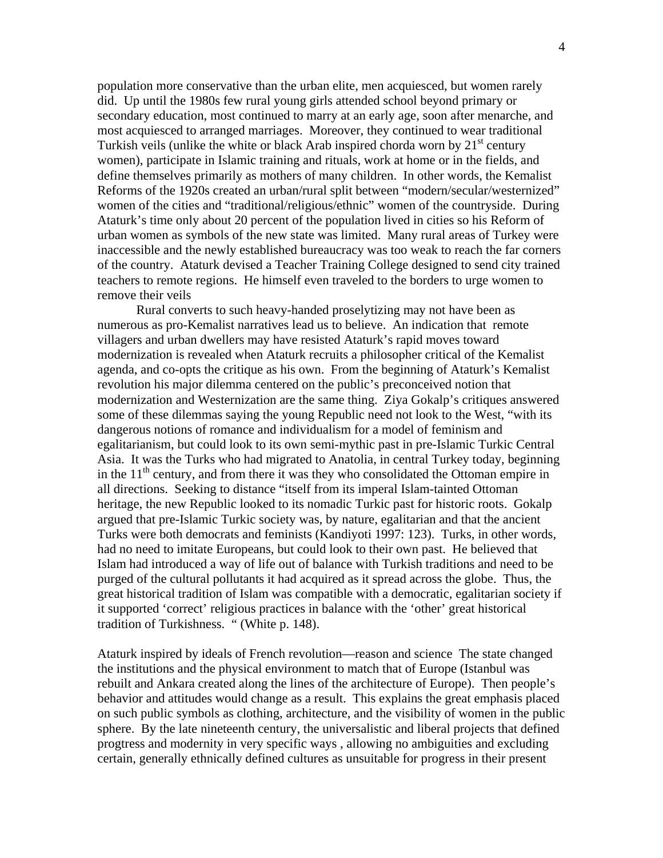population more conservative than the urban elite, men acquiesced, but women rarely did. Up until the 1980s few rural young girls attended school beyond primary or secondary education, most continued to marry at an early age, soon after menarche, and most acquiesced to arranged marriages. Moreover, they continued to wear traditional Turkish veils (unlike the white or black Arab inspired chorda worn by  $21<sup>st</sup>$  century women), participate in Islamic training and rituals, work at home or in the fields, and define themselves primarily as mothers of many children. In other words, the Kemalist Reforms of the 1920s created an urban/rural split between "modern/secular/westernized" women of the cities and "traditional/religious/ethnic" women of the countryside. During Ataturk's time only about 20 percent of the population lived in cities so his Reform of urban women as symbols of the new state was limited. Many rural areas of Turkey were inaccessible and the newly established bureaucracy was too weak to reach the far corners of the country. Ataturk devised a Teacher Training College designed to send city trained teachers to remote regions. He himself even traveled to the borders to urge women to remove their veils

 Rural converts to such heavy-handed proselytizing may not have been as numerous as pro-Kemalist narratives lead us to believe. An indication that remote villagers and urban dwellers may have resisted Ataturk's rapid moves toward modernization is revealed when Ataturk recruits a philosopher critical of the Kemalist agenda, and co-opts the critique as his own. From the beginning of Ataturk's Kemalist revolution his major dilemma centered on the public's preconceived notion that modernization and Westernization are the same thing. Ziya Gokalp's critiques answered some of these dilemmas saying the young Republic need not look to the West, "with its dangerous notions of romance and individualism for a model of feminism and egalitarianism, but could look to its own semi-mythic past in pre-Islamic Turkic Central Asia. It was the Turks who had migrated to Anatolia, in central Turkey today, beginning in the  $11<sup>th</sup>$  century, and from there it was they who consolidated the Ottoman empire in all directions. Seeking to distance "itself from its imperal Islam-tainted Ottoman heritage, the new Republic looked to its nomadic Turkic past for historic roots. Gokalp argued that pre-Islamic Turkic society was, by nature, egalitarian and that the ancient Turks were both democrats and feminists (Kandiyoti 1997: 123). Turks, in other words, had no need to imitate Europeans, but could look to their own past. He believed that Islam had introduced a way of life out of balance with Turkish traditions and need to be purged of the cultural pollutants it had acquired as it spread across the globe. Thus, the great historical tradition of Islam was compatible with a democratic, egalitarian society if it supported 'correct' religious practices in balance with the 'other' great historical tradition of Turkishness. " (White p. 148).

Ataturk inspired by ideals of French revolution—reason and science The state changed the institutions and the physical environment to match that of Europe (Istanbul was rebuilt and Ankara created along the lines of the architecture of Europe). Then people's behavior and attitudes would change as a result. This explains the great emphasis placed on such public symbols as clothing, architecture, and the visibility of women in the public sphere. By the late nineteenth century, the universalistic and liberal projects that defined progtress and modernity in very specific ways , allowing no ambiguities and excluding certain, generally ethnically defined cultures as unsuitable for progress in their present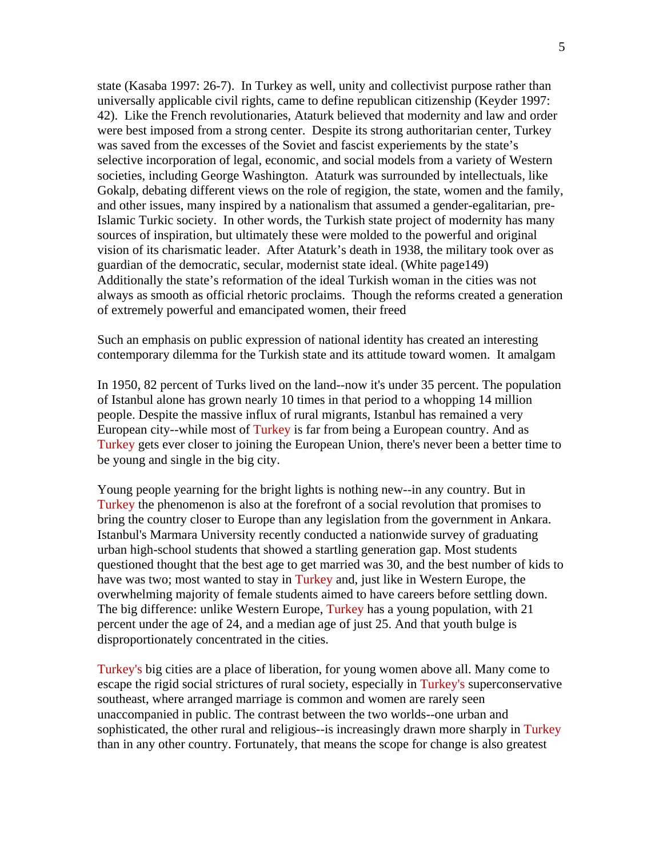state (Kasaba 1997: 26-7). In Turkey as well, unity and collectivist purpose rather than universally applicable civil rights, came to define republican citizenship (Keyder 1997: 42). Like the French revolutionaries, Ataturk believed that modernity and law and order were best imposed from a strong center. Despite its strong authoritarian center, Turkey was saved from the excesses of the Soviet and fascist experiements by the state's selective incorporation of legal, economic, and social models from a variety of Western societies, including George Washington. Ataturk was surrounded by intellectuals, like Gokalp, debating different views on the role of regigion, the state, women and the family, and other issues, many inspired by a nationalism that assumed a gender-egalitarian, pre-Islamic Turkic society. In other words, the Turkish state project of modernity has many sources of inspiration, but ultimately these were molded to the powerful and original vision of its charismatic leader. After Ataturk's death in 1938, the military took over as guardian of the democratic, secular, modernist state ideal. (White page149) Additionally the state's reformation of the ideal Turkish woman in the cities was not always as smooth as official rhetoric proclaims. Though the reforms created a generation of extremely powerful and emancipated women, their freed

Such an emphasis on public expression of national identity has created an interesting contemporary dilemma for the Turkish state and its attitude toward women. It amalgam

In 1950, 82 percent of Turks lived on the land--now it's under 35 percent. The population of Istanbul alone has grown nearly 10 times in that period to a whopping 14 million people. Despite the massive influx of rural migrants, Istanbul has remained a very European city--while most of Turkey is far from being a European country. And as Turkey gets ever closer to joining the European Union, there's never been a better time to be young and single in the big city.

Young people yearning for the bright lights is nothing new--in any country. But in Turkey the phenomenon is also at the forefront of a social revolution that promises to bring the country closer to Europe than any legislation from the government in Ankara. Istanbul's Marmara University recently conducted a nationwide survey of graduating urban high-school students that showed a startling generation gap. Most students questioned thought that the best age to get married was 30, and the best number of kids to have was two; most wanted to stay in Turkey and, just like in Western Europe, the overwhelming majority of female students aimed to have careers before settling down. The big difference: unlike Western Europe, Turkey has a young population, with 21 percent under the age of 24, and a median age of just 25. And that youth bulge is disproportionately concentrated in the cities.

Turkey's big cities are a place of liberation, for young women above all. Many come to escape the rigid social strictures of rural society, especially in Turkey's superconservative southeast, where arranged marriage is common and women are rarely seen unaccompanied in public. The contrast between the two worlds--one urban and sophisticated, the other rural and religious--is increasingly drawn more sharply in Turkey than in any other country. Fortunately, that means the scope for change is also greatest